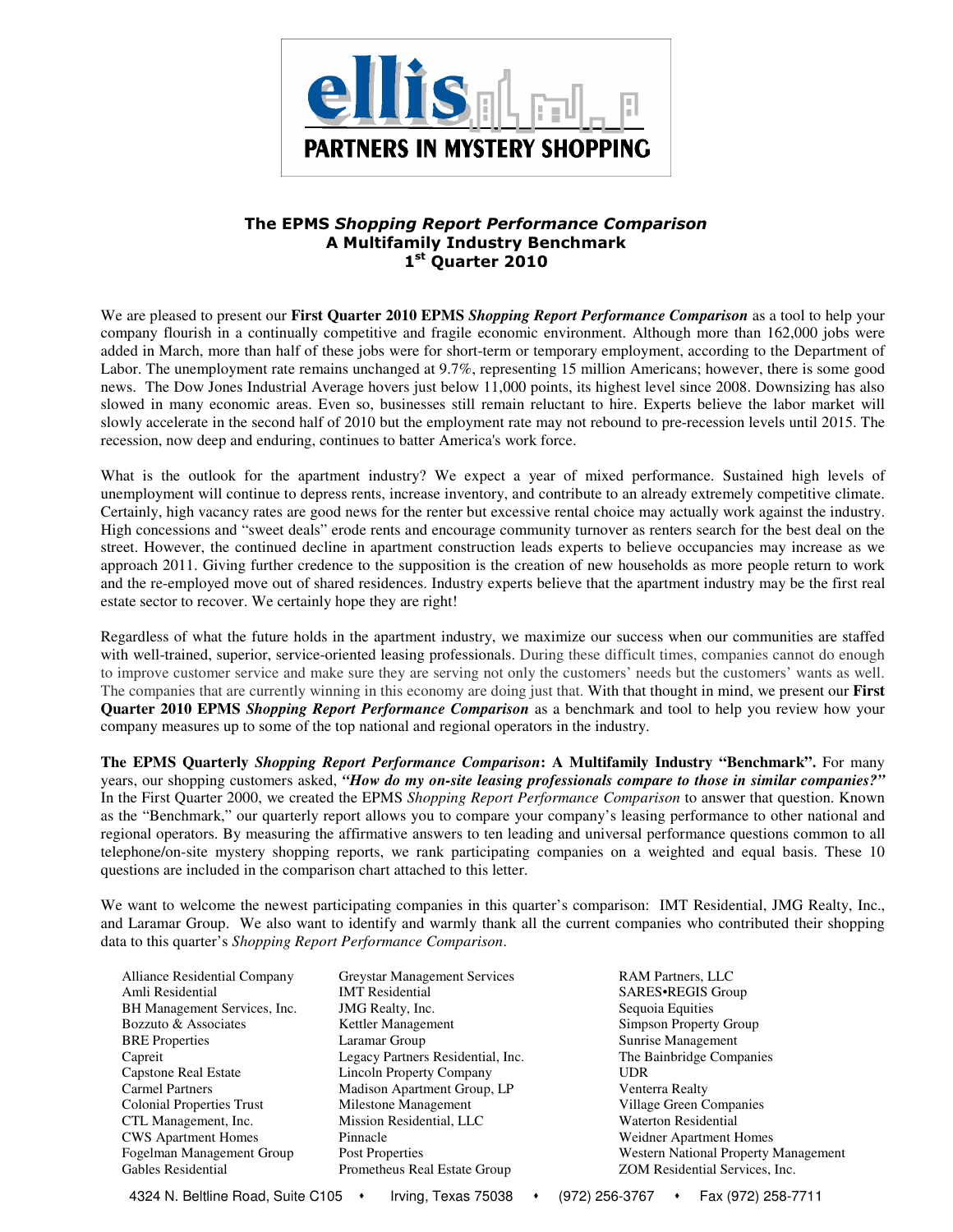

# The EPMS Shopping Report Performance Comparison A Multifamily Industry Benchmark 1st Quarter 2010

We are pleased to present our **First Quarter 2010 EPMS** *Shopping Report Performance Comparison* as a tool to help your company flourish in a continually competitive and fragile economic environment. Although more than 162,000 jobs were added in March, more than half of these jobs were for short-term or temporary employment, according to the Department of Labor. The unemployment rate remains unchanged at 9.7%, representing 15 million Americans; however, there is some good news. The Dow Jones Industrial Average hovers just below 11,000 points, its highest level since 2008. Downsizing has also slowed in many economic areas. Even so, businesses still remain reluctant to hire. Experts believe the labor market will slowly accelerate in the second half of 2010 but the employment rate may not rebound to pre-recession levels until 2015. The recession, now deep and enduring, continues to batter America's work force.

What is the outlook for the apartment industry? We expect a year of mixed performance. Sustained high levels of unemployment will continue to depress rents, increase inventory, and contribute to an already extremely competitive climate. Certainly, high vacancy rates are good news for the renter but excessive rental choice may actually work against the industry. High concessions and "sweet deals" erode rents and encourage community turnover as renters search for the best deal on the street. However, the continued decline in apartment construction leads experts to believe occupancies may increase as we approach 2011. Giving further credence to the supposition is the creation of new households as more people return to work and the re-employed move out of shared residences. Industry experts believe that the apartment industry may be the first real estate sector to recover. We certainly hope they are right!

Regardless of what the future holds in the apartment industry, we maximize our success when our communities are staffed with well-trained, superior, service-oriented leasing professionals. During these difficult times, companies cannot do enough to improve customer service and make sure they are serving not only the customers' needs but the customers' wants as well. The companies that are currently winning in this economy are doing just that. With that thought in mind, we present our **First Quarter 2010 EPMS** *Shopping Report Performance Comparison* as a benchmark and tool to help you review how your company measures up to some of the top national and regional operators in the industry.

**The EPMS Quarterly** *Shopping Report Performance Comparison***: A Multifamily Industry "Benchmark".** For many years, our shopping customers asked, *"How do my on-site leasing professionals compare to those in similar companies?"*  In the First Quarter 2000, we created the EPMS *Shopping Report Performance Comparison* to answer that question. Known as the "Benchmark," our quarterly report allows you to compare your company's leasing performance to other national and regional operators. By measuring the affirmative answers to ten leading and universal performance questions common to all telephone/on-site mystery shopping reports, we rank participating companies on a weighted and equal basis. These 10 questions are included in the comparison chart attached to this letter.

We want to welcome the newest participating companies in this quarter's comparison: IMT Residential, JMG Realty, Inc., and Laramar Group. We also want to identify and warmly thank all the current companies who contributed their shopping data to this quarter's *Shopping Report Performance Comparison*.

- Alliance Residential Company Greystar Management Services RAM Partners, LLC
- Amli Residential IMT Residential SARES•REGIS Group BH Management Services, Inc. JMG Realty, Inc. Sequoia Equities<br>
Bozzuto & Associates 
Simpson Propert Kettler Management Simpson Property Group BRE Properties **Laramar Group** Sunrise Management Capreit Legacy Partners Residential, Inc. The Bainbridge Companies Capstone Real Estate Lincoln Property Company UDR Carmel Partners Madison Apartment Group, LP Venterra Realty Colonial Properties Trust Milestone Management Village Green Companies CTL Management, Inc. Mission Residential, LLC Waterton Residential CWS Apartment Homes Pinnacle Weidner Apartment Homes Gables Residential Prometheus Real Estate Group ZOM Residential Services, Inc.

Fogelman Management Group Post Properties Western National Property Management

4324 N. Beltline Road, Suite C105 · Irving, Texas 75038 · (972) 256-3767 · Fax (972) 258-7711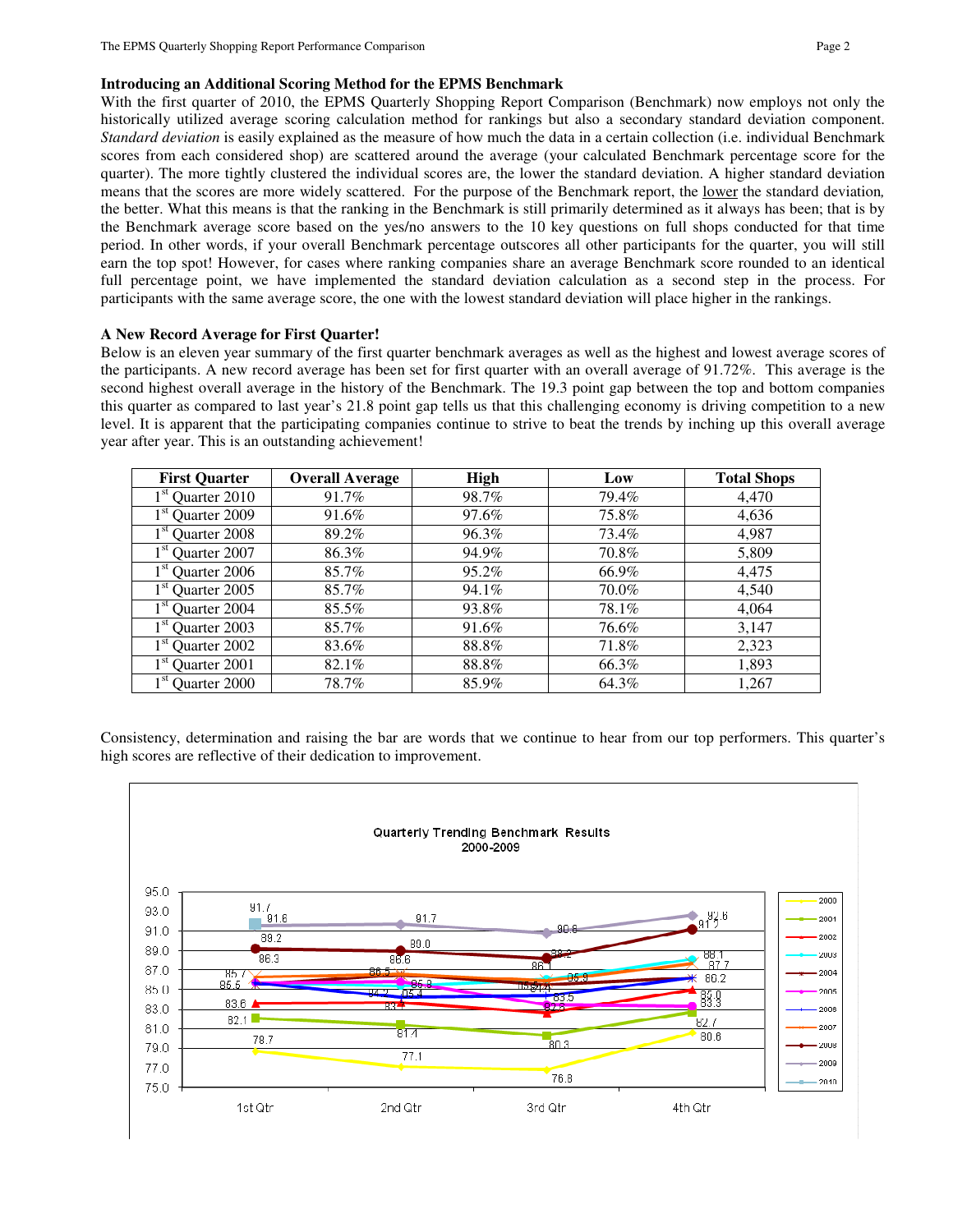#### **Introducing an Additional Scoring Method for the EPMS Benchmark**

With the first quarter of 2010, the EPMS Quarterly Shopping Report Comparison (Benchmark) now employs not only the historically utilized average scoring calculation method for rankings but also a secondary standard deviation component. *Standard deviation* is easily explained as the measure of how much the data in a certain collection (i.e. individual Benchmark scores from each considered shop) are scattered around the average (your calculated Benchmark percentage score for the quarter). The more tightly clustered the individual scores are, the lower the standard deviation. A higher standard deviation means that the scores are more widely scattered. For the purpose of the Benchmark report, the lower the standard deviation*,* the better. What this means is that the ranking in the Benchmark is still primarily determined as it always has been; that is by the Benchmark average score based on the yes/no answers to the 10 key questions on full shops conducted for that time period. In other words, if your overall Benchmark percentage outscores all other participants for the quarter, you will still earn the top spot! However, for cases where ranking companies share an average Benchmark score rounded to an identical full percentage point, we have implemented the standard deviation calculation as a second step in the process. For participants with the same average score, the one with the lowest standard deviation will place higher in the rankings.

#### **A New Record Average for First Quarter!**

Below is an eleven year summary of the first quarter benchmark averages as well as the highest and lowest average scores of the participants. A new record average has been set for first quarter with an overall average of 91.72%. This average is the second highest overall average in the history of the Benchmark. The 19.3 point gap between the top and bottom companies this quarter as compared to last year's 21.8 point gap tells us that this challenging economy is driving competition to a new level. It is apparent that the participating companies continue to strive to beat the trends by inching up this overall average year after year. This is an outstanding achievement!

| <b>First Quarter</b>         | <b>Overall Average</b> | <b>High</b> | Low   | <b>Total Shops</b> |
|------------------------------|------------------------|-------------|-------|--------------------|
| $1st$ Quarter 2010           | 91.7%                  | 98.7%       | 79.4% | 4,470              |
| 1 <sup>st</sup> Quarter 2009 | 91.6%                  | 97.6%       | 75.8% | 4,636              |
| 1 <sup>st</sup> Quarter 2008 | 89.2%                  | 96.3%       | 73.4% | 4,987              |
| 1 <sup>st</sup> Quarter 2007 | 86.3%                  | 94.9%       | 70.8% | 5,809              |
| $1st$ Quarter 2006           | 85.7%                  | 95.2%       | 66.9% | 4,475              |
| $1st$ Quarter 2005           | 85.7%                  | 94.1%       | 70.0% | 4,540              |
| $1st$ Quarter 2004           | 85.5%                  | 93.8%       | 78.1% | 4,064              |
| $1st$ Quarter 2003           | 85.7%                  | 91.6%       | 76.6% | 3,147              |
| 1 <sup>st</sup> Quarter 2002 | 83.6%                  | 88.8%       | 71.8% | 2,323              |
| Quarter 2001                 | 82.1%                  | 88.8%       | 66.3% | 1,893              |
| 1 <sup>st</sup> Quarter 2000 | 78.7%                  | 85.9%       | 64.3% | 1,267              |

Consistency, determination and raising the bar are words that we continue to hear from our top performers. This quarter's high scores are reflective of their dedication to improvement.

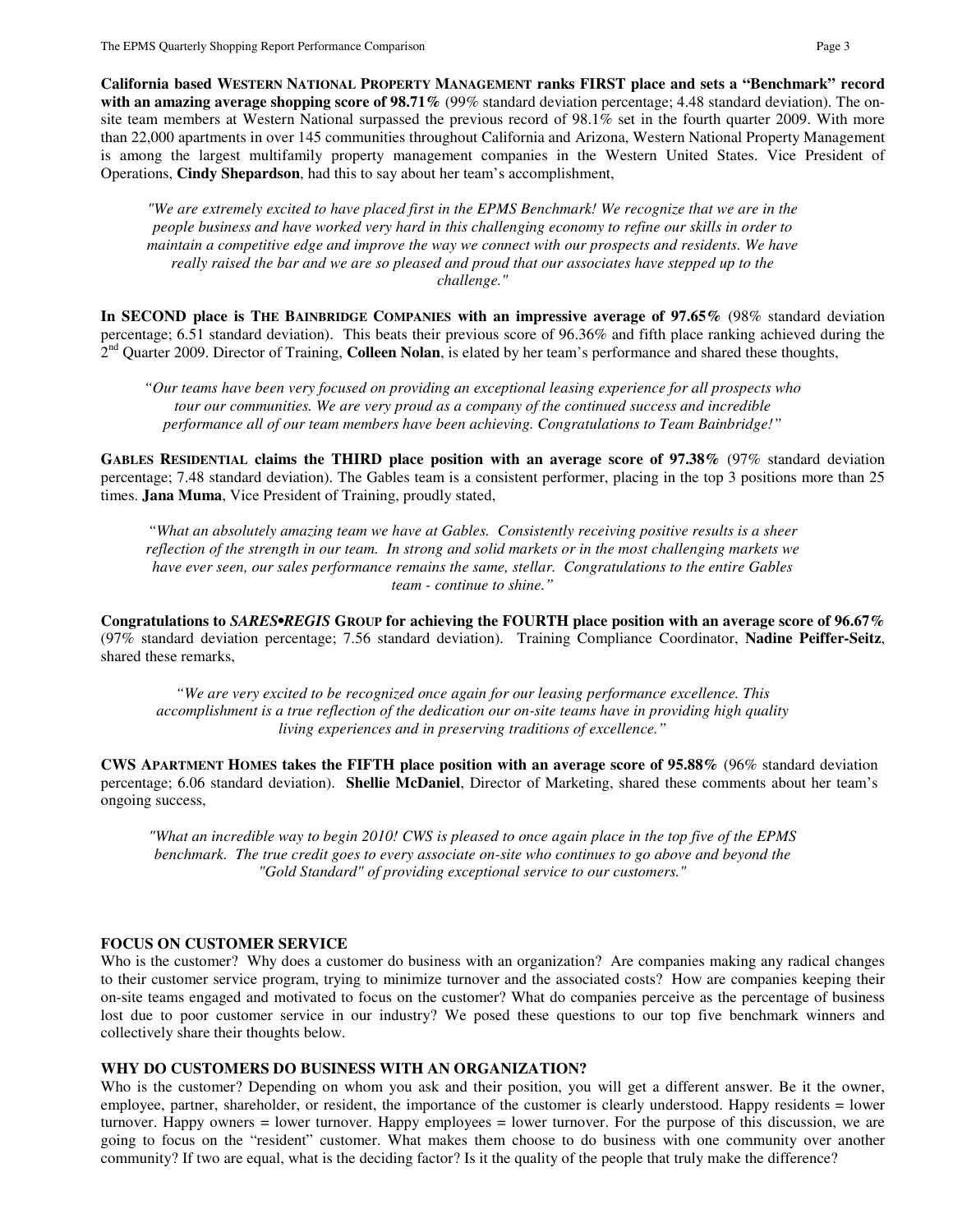**California based WESTERN NATIONAL PROPERTY MANAGEMENT ranks FIRST place and sets a "Benchmark" record with an amazing average shopping score of 98.71%** (99% standard deviation percentage; 4.48 standard deviation). The onsite team members at Western National surpassed the previous record of 98.1% set in the fourth quarter 2009. With more than 22,000 apartments in over 145 communities throughout California and Arizona, Western National Property Management is among the largest multifamily property management companies in the Western United States. Vice President of Operations, **Cindy Shepardson**, had this to say about her team's accomplishment,

*"We are extremely excited to have placed first in the EPMS Benchmark! We recognize that we are in the people business and have worked very hard in this challenging economy to refine our skills in order to maintain a competitive edge and improve the way we connect with our prospects and residents. We have really raised the bar and we are so pleased and proud that our associates have stepped up to the challenge."* 

**In SECOND place is THE BAINBRIDGE COMPANIES with an impressive average of 97.65%** (98% standard deviation percentage; 6.51 standard deviation). This beats their previous score of 96.36% and fifth place ranking achieved during the <sup>2nd</sup> Quarter 2009. Director of Training, **Colleen Nolan**, is elated by her team's performance and shared these thoughts,

*"Our teams have been very focused on providing an exceptional leasing experience for all prospects who tour our communities. We are very proud as a company of the continued success and incredible performance all of our team members have been achieving. Congratulations to Team Bainbridge!"* 

**GABLES RESIDENTIAL claims the THIRD place position with an average score of 97.38%** (97% standard deviation percentage; 7.48 standard deviation). The Gables team is a consistent performer, placing in the top 3 positions more than 25 times. **Jana Muma**, Vice President of Training, proudly stated,

*"What an absolutely amazing team we have at Gables. Consistently receiving positive results is a sheer reflection of the strength in our team. In strong and solid markets or in the most challenging markets we have ever seen, our sales performance remains the same, stellar. Congratulations to the entire Gables team - continue to shine."* 

**Congratulations to** *SARES•REGIS* **GROUP for achieving the FOURTH place position with an average score of 96.67%** (97% standard deviation percentage; 7.56 standard deviation). Training Compliance Coordinator, **Nadine Peiffer-Seitz**, shared these remarks,

*"We are very excited to be recognized once again for our leasing performance excellence. This accomplishment is a true reflection of the dedication our on-site teams have in providing high quality living experiences and in preserving traditions of excellence."* 

**CWS APARTMENT HOMES takes the FIFTH place position with an average score of 95.88%** (96% standard deviation percentage; 6.06 standard deviation). **Shellie McDaniel**, Director of Marketing, shared these comments about her team's ongoing success,

*"What an incredible way to begin 2010! CWS is pleased to once again place in the top five of the EPMS benchmark. The true credit goes to every associate on-site who continues to go above and beyond the "Gold Standard" of providing exceptional service to our customers."*

## **FOCUS ON CUSTOMER SERVICE**

Who is the customer? Why does a customer do business with an organization? Are companies making any radical changes to their customer service program, trying to minimize turnover and the associated costs? How are companies keeping their on-site teams engaged and motivated to focus on the customer? What do companies perceive as the percentage of business lost due to poor customer service in our industry? We posed these questions to our top five benchmark winners and collectively share their thoughts below.

## **WHY DO CUSTOMERS DO BUSINESS WITH AN ORGANIZATION?**

Who is the customer? Depending on whom you ask and their position, you will get a different answer. Be it the owner, employee, partner, shareholder, or resident, the importance of the customer is clearly understood. Happy residents = lower turnover. Happy owners = lower turnover. Happy employees = lower turnover. For the purpose of this discussion, we are going to focus on the "resident" customer. What makes them choose to do business with one community over another community? If two are equal, what is the deciding factor? Is it the quality of the people that truly make the difference?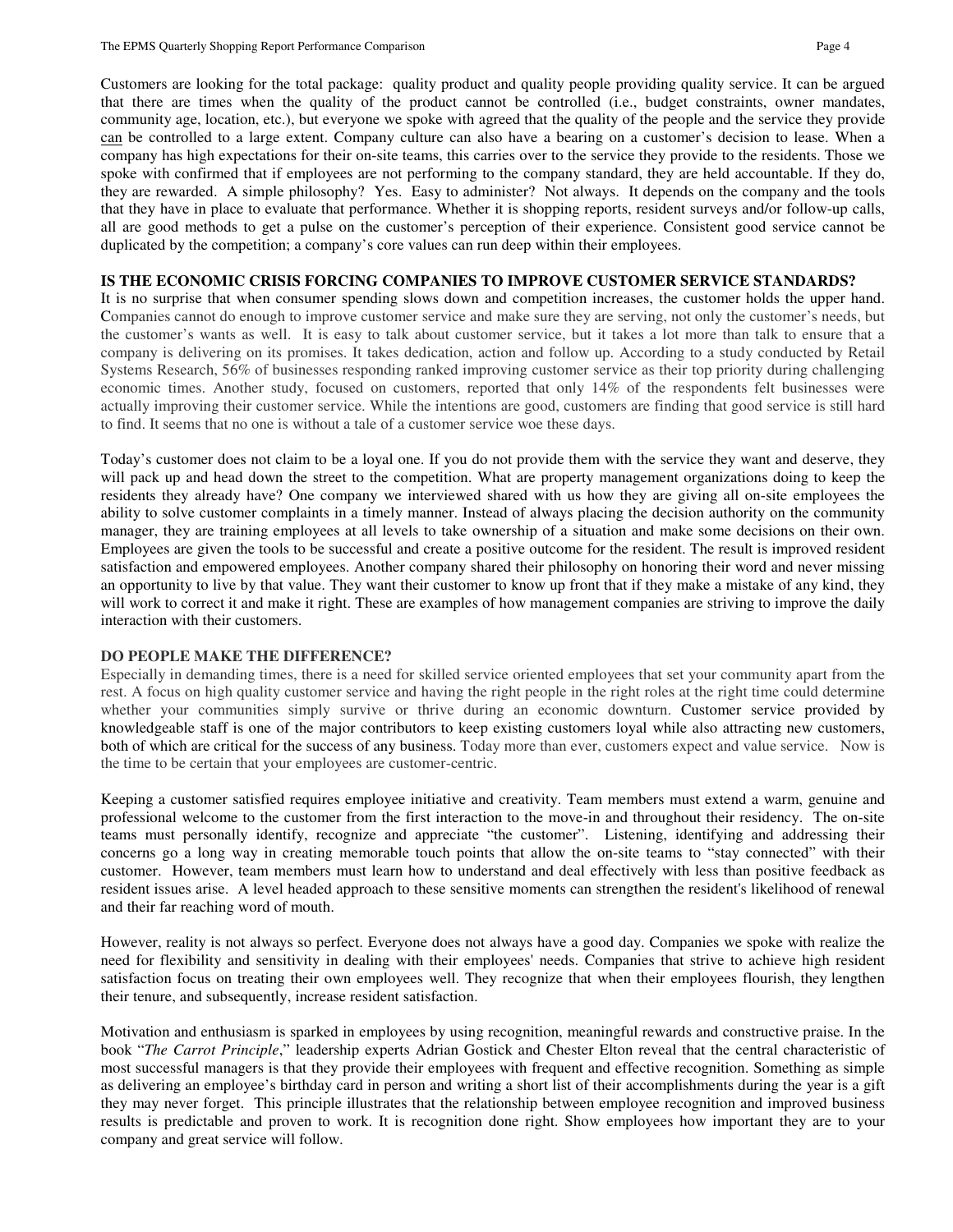Customers are looking for the total package: quality product and quality people providing quality service. It can be argued that there are times when the quality of the product cannot be controlled (i.e., budget constraints, owner mandates, community age, location, etc.), but everyone we spoke with agreed that the quality of the people and the service they provide can be controlled to a large extent. Company culture can also have a bearing on a customer's decision to lease. When a company has high expectations for their on-site teams, this carries over to the service they provide to the residents. Those we spoke with confirmed that if employees are not performing to the company standard, they are held accountable. If they do, they are rewarded. A simple philosophy? Yes. Easy to administer? Not always. It depends on the company and the tools that they have in place to evaluate that performance. Whether it is shopping reports, resident surveys and/or follow-up calls, all are good methods to get a pulse on the customer's perception of their experience. Consistent good service cannot be duplicated by the competition; a company's core values can run deep within their employees.

# **IS THE ECONOMIC CRISIS FORCING COMPANIES TO IMPROVE CUSTOMER SERVICE STANDARDS?**

It is no surprise that when consumer spending slows down and competition increases, the customer holds the upper hand. Companies cannot do enough to improve customer service and make sure they are serving, not only the customer's needs, but the customer's wants as well. It is easy to talk about customer service, but it takes a lot more than talk to ensure that a company is delivering on its promises. It takes dedication, action and follow up. According to a study conducted by Retail Systems Research, 56% of businesses responding ranked improving customer service as their top priority during challenging economic times. Another study, focused on customers, reported that only 14% of the respondents felt businesses were actually improving their customer service. While the intentions are good, customers are finding that good service is still hard to find. It seems that no one is without a tale of a customer service woe these days.

Today's customer does not claim to be a loyal one. If you do not provide them with the service they want and deserve, they will pack up and head down the street to the competition. What are property management organizations doing to keep the residents they already have? One company we interviewed shared with us how they are giving all on-site employees the ability to solve customer complaints in a timely manner. Instead of always placing the decision authority on the community manager, they are training employees at all levels to take ownership of a situation and make some decisions on their own. Employees are given the tools to be successful and create a positive outcome for the resident. The result is improved resident satisfaction and empowered employees. Another company shared their philosophy on honoring their word and never missing an opportunity to live by that value. They want their customer to know up front that if they make a mistake of any kind, they will work to correct it and make it right. These are examples of how management companies are striving to improve the daily interaction with their customers.

## **DO PEOPLE MAKE THE DIFFERENCE?**

Especially in demanding times, there is a need for skilled service oriented employees that set your community apart from the rest. A focus on high quality customer service and having the right people in the right roles at the right time could determine whether your communities simply survive or thrive during an economic downturn. Customer service provided by knowledgeable staff is one of the major contributors to keep existing customers loyal while also attracting new customers, both of which are critical for the success of any business. Today more than ever, customers expect and value service. Now is the time to be certain that your employees are customer-centric.

Keeping a customer satisfied requires employee initiative and creativity. Team members must extend a warm, genuine and professional welcome to the customer from the first interaction to the move-in and throughout their residency. The on-site teams must personally identify, recognize and appreciate "the customer". Listening, identifying and addressing their concerns go a long way in creating memorable touch points that allow the on-site teams to "stay connected" with their customer. However, team members must learn how to understand and deal effectively with less than positive feedback as resident issues arise. A level headed approach to these sensitive moments can strengthen the resident's likelihood of renewal and their far reaching word of mouth.

However, reality is not always so perfect. Everyone does not always have a good day. Companies we spoke with realize the need for flexibility and sensitivity in dealing with their employees' needs. Companies that strive to achieve high resident satisfaction focus on treating their own employees well. They recognize that when their employees flourish, they lengthen their tenure, and subsequently, increase resident satisfaction.

Motivation and enthusiasm is sparked in employees by using recognition, meaningful rewards and constructive praise. In the book "*The Carrot Principle*," leadership experts Adrian Gostick and Chester Elton reveal that the central characteristic of most successful managers is that they provide their employees with frequent and effective recognition. Something as simple as delivering an employee's birthday card in person and writing a short list of their accomplishments during the year is a gift they may never forget. This principle illustrates that the relationship between employee recognition and improved business results is predictable and proven to work. It is recognition done right. Show employees how important they are to your company and great service will follow.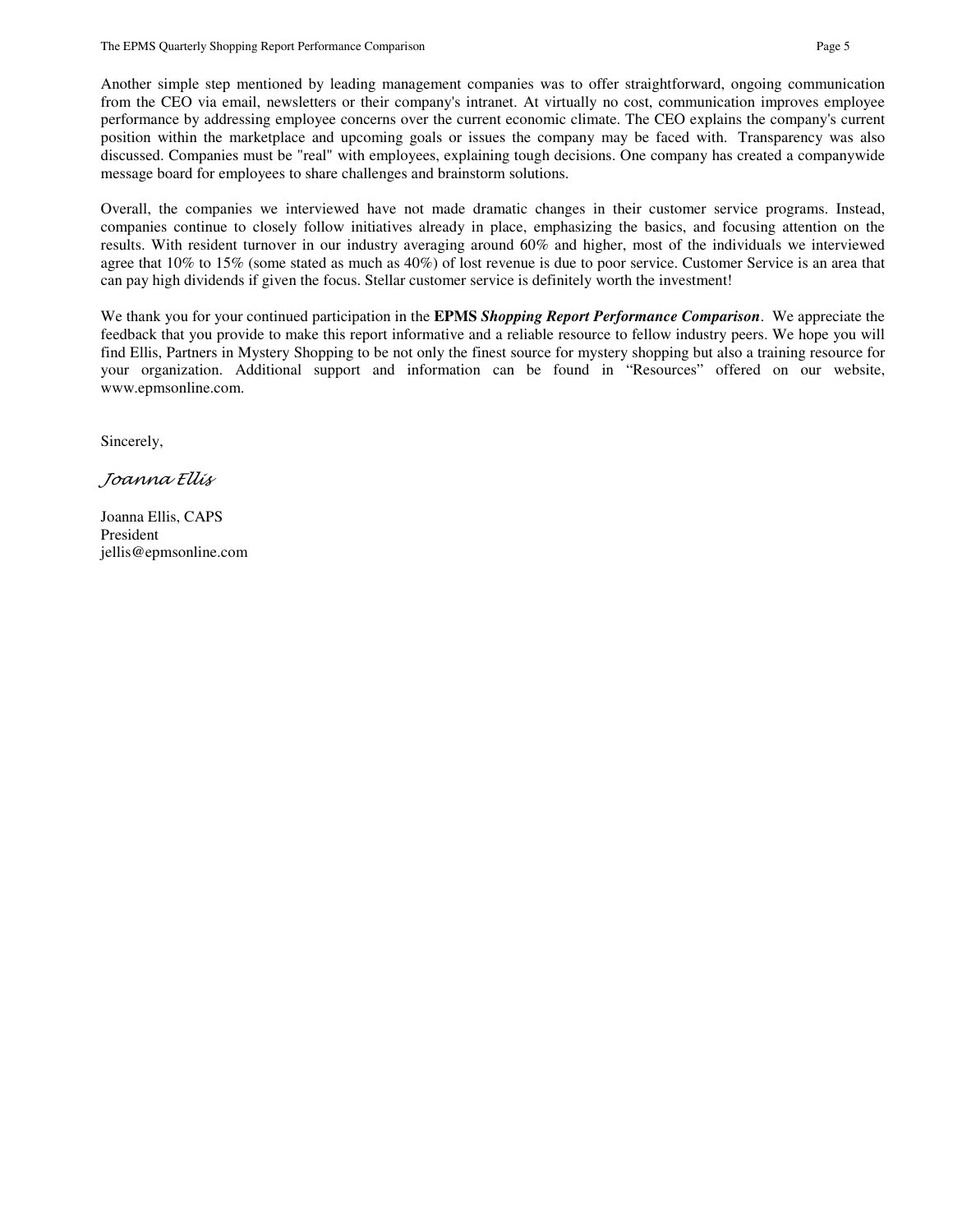Another simple step mentioned by leading management companies was to offer straightforward, ongoing communication from the CEO via email, newsletters or their company's intranet. At virtually no cost, communication improves employee performance by addressing employee concerns over the current economic climate. The CEO explains the company's current position within the marketplace and upcoming goals or issues the company may be faced with. Transparency was also discussed. Companies must be "real" with employees, explaining tough decisions. One company has created a companywide message board for employees to share challenges and brainstorm solutions.

Overall, the companies we interviewed have not made dramatic changes in their customer service programs. Instead, companies continue to closely follow initiatives already in place, emphasizing the basics, and focusing attention on the results. With resident turnover in our industry averaging around 60% and higher, most of the individuals we interviewed agree that 10% to 15% (some stated as much as 40%) of lost revenue is due to poor service. Customer Service is an area that can pay high dividends if given the focus. Stellar customer service is definitely worth the investment!

We thank you for your continued participation in the **EPMS** *Shopping Report Performance Comparison*. We appreciate the feedback that you provide to make this report informative and a reliable resource to fellow industry peers. We hope you will find Ellis, Partners in Mystery Shopping to be not only the finest source for mystery shopping but also a training resource for your organization. Additional support and information can be found in "Resources" offered on our website, www.epmsonline.com.

Sincerely,

Joanna Ellis

Joanna Ellis, CAPS President jellis@epmsonline.com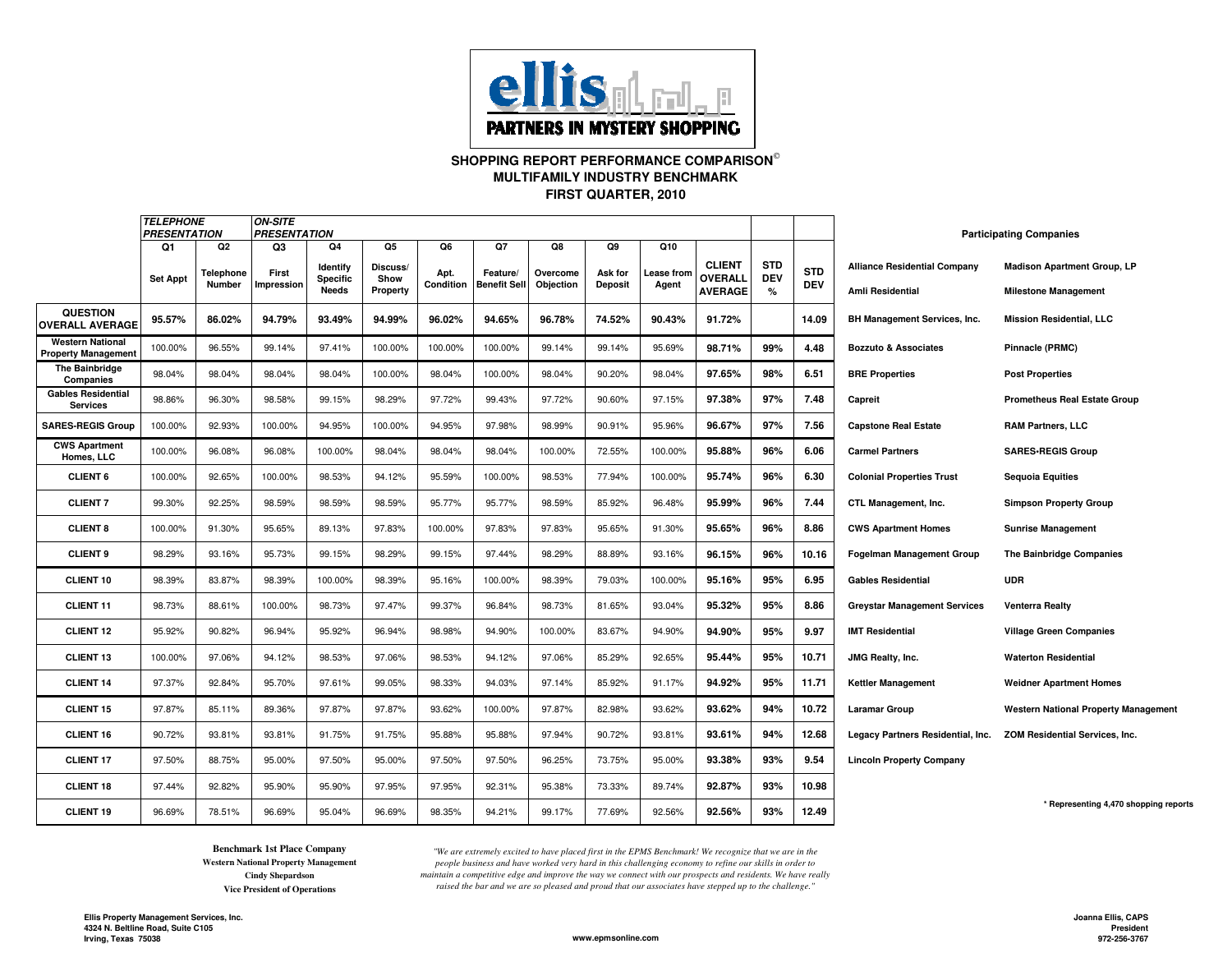

#### **SHOPPING REPORT PERFORMANCE COMPARISON MULTIFAMILY INDUSTRY BENCHMARKFIRST QUARTER, 2010**

|                                                       | <i><b>TELEPHONE</b></i><br><b>PRESENTATION</b> |                                  | <b>ON-SITE</b>            | <b>PRESENTATION</b>                               |                                    |                         |                                       |                             |                                 |                           |                                                   |                                  |                          | <b>Participating Companies</b>                          |                                                                   |
|-------------------------------------------------------|------------------------------------------------|----------------------------------|---------------------------|---------------------------------------------------|------------------------------------|-------------------------|---------------------------------------|-----------------------------|---------------------------------|---------------------------|---------------------------------------------------|----------------------------------|--------------------------|---------------------------------------------------------|-------------------------------------------------------------------|
|                                                       | Q1<br><b>Set Appt</b>                          | Q2<br>Telephone<br><b>Number</b> | Q3<br>First<br>Impression | Q4<br>Identify<br><b>Specific</b><br><b>Needs</b> | Q5<br>Discuss/<br>Show<br>Property | Q6<br>Apt.<br>Condition | Q7<br>Feature/<br><b>Benefit Sell</b> | Q8<br>Overcome<br>Objection | Q9<br>Ask for<br><b>Deposit</b> | Q10<br>ease from<br>Agent | <b>CLIENT</b><br><b>OVERALL</b><br><b>AVERAGE</b> | <b>STD</b><br><b>DEV</b><br>$\%$ | <b>STD</b><br><b>DEV</b> | <b>Alliance Residential Company</b><br>Amli Residential | <b>Madison Apartment Group, LP</b><br><b>Milestone Management</b> |
| <b>QUESTION</b><br><b>OVERALL AVERAGE</b>             | 95.57%                                         | 86.02%                           | 94.79%                    | 93.49%                                            | 94.99%                             | 96.02%                  | 94.65%                                | 96.78%                      | 74.52%                          | 90.43%                    | 91.72%                                            |                                  | 14.09                    | <b>BH Management Services, Inc.</b>                     | <b>Mission Residential, LLC</b>                                   |
| <b>Western National</b><br><b>Property Management</b> | 100.00%                                        | 96.55%                           | 99.14%                    | 97.41%                                            | 100.00%                            | 100.00%                 | 100.00%                               | 99.14%                      | 99.14%                          | 95.69%                    | 98.71%                                            | 99%                              | 4.48                     | <b>Bozzuto &amp; Associates</b>                         | Pinnacle (PRMC)                                                   |
| <b>The Bainbridge</b><br>Companies                    | 98.04%                                         | 98.04%                           | 98.04%                    | 98.04%                                            | 100.00%                            | 98.04%                  | 100.00%                               | 98.04%                      | 90.20%                          | 98.04%                    | 97.65%                                            | 98%                              | 6.51                     | <b>BRE Properties</b>                                   | <b>Post Properties</b>                                            |
| <b>Gables Residential</b><br><b>Services</b>          | 98.86%                                         | 96.30%                           | 98.58%                    | 99.15%                                            | 98.29%                             | 97.72%                  | 99.43%                                | 97.72%                      | 90.60%                          | 97.15%                    | 97.38%                                            | 97%                              | 7.48                     | Capreit                                                 | <b>Prometheus Real Estate Group</b>                               |
| <b>SARES-REGIS Group</b>                              | 100.00%                                        | 92.93%                           | 100.00%                   | 94.95%                                            | 100.00%                            | 94.95%                  | 97.98%                                | 98.99%                      | 90.91%                          | 95.96%                    | 96.67%                                            | 97%                              | 7.56                     | <b>Capstone Real Estate</b>                             | <b>RAM Partners, LLC</b>                                          |
| <b>CWS Apartment</b><br>Homes, LLC                    | 100.00%                                        | 96.08%                           | 96.08%                    | 100.00%                                           | 98.04%                             | 98.04%                  | 98.04%                                | 100.00%                     | 72.55%                          | 100.00%                   | 95.88%                                            | 96%                              | 6.06                     | <b>Carmel Partners</b>                                  | <b>SARES-REGIS Group</b>                                          |
| <b>CLIENT 6</b>                                       | 100.00%                                        | 92.65%                           | 100.00%                   | 98.53%                                            | 94.12%                             | 95.59%                  | 100.00%                               | 98.53%                      | 77.94%                          | 100.00%                   | 95.74%                                            | 96%                              | 6.30                     | <b>Colonial Properties Trust</b>                        | <b>Sequoia Equities</b>                                           |
| <b>CLIENT 7</b>                                       | 99.30%                                         | 92.25%                           | 98.59%                    | 98.59%                                            | 98.59%                             | 95.77%                  | 95.77%                                | 98.59%                      | 85.92%                          | 96.48%                    | 95.99%                                            | 96%                              | 7.44                     | CTL Management, Inc.                                    | <b>Simpson Property Group</b>                                     |
| <b>CLIENT 8</b>                                       | 100.00%                                        | 91.30%                           | 95.65%                    | 89.13%                                            | 97.83%                             | 100.00%                 | 97.83%                                | 97.83%                      | 95.65%                          | 91.30%                    | 95.65%                                            | 96%                              | 8.86                     | <b>CWS Apartment Homes</b>                              | <b>Sunrise Management</b>                                         |
| <b>CLIENT 9</b>                                       | 98.29%                                         | 93.16%                           | 95.73%                    | 99.15%                                            | 98.29%                             | 99.15%                  | 97.44%                                | 98.29%                      | 88.89%                          | 93.16%                    | 96.15%                                            | 96%                              | 10.16                    | <b>Fogelman Management Group</b>                        | The Bainbridge Companies                                          |
| <b>CLIENT 10</b>                                      | 98.39%                                         | 83.87%                           | 98.39%                    | 100.00%                                           | 98.39%                             | 95.16%                  | 100.00%                               | 98.39%                      | 79.03%                          | 100.00%                   | 95.16%                                            | 95%                              | 6.95                     | <b>Gables Residential</b>                               | <b>UDR</b>                                                        |
| <b>CLIENT 11</b>                                      | 98.73%                                         | 88.61%                           | 100.00%                   | 98.73%                                            | 97.47%                             | 99.37%                  | 96.84%                                | 98.73%                      | 81.65%                          | 93.04%                    | 95.32%                                            | 95%                              | 8.86                     | <b>Greystar Management Services</b>                     | Venterra Realty                                                   |
| <b>CLIENT 12</b>                                      | 95.92%                                         | 90.82%                           | 96.94%                    | 95.92%                                            | 96.94%                             | 98.98%                  | 94.90%                                | 100.00%                     | 83.67%                          | 94.90%                    | 94.90%                                            | 95%                              | 9.97                     | <b>IMT Residential</b>                                  | <b>Village Green Companies</b>                                    |
| <b>CLIENT 13</b>                                      | 100.00%                                        | 97.06%                           | 94.12%                    | 98.53%                                            | 97.06%                             | 98.53%                  | 94.12%                                | 97.06%                      | 85.29%                          | 92.65%                    | 95.44%                                            | 95%                              | 10.71                    | JMG Realty, Inc.                                        | <b>Waterton Residential</b>                                       |
| <b>CLIENT 14</b>                                      | 97.37%                                         | 92.84%                           | 95.70%                    | 97.61%                                            | 99.05%                             | 98.33%                  | 94.03%                                | 97.14%                      | 85.92%                          | 91.17%                    | 94.92%                                            | 95%                              | 11.71                    | <b>Kettler Management</b>                               | <b>Weidner Apartment Homes</b>                                    |
| <b>CLIENT 15</b>                                      | 97.87%                                         | 85.11%                           | 89.36%                    | 97.87%                                            | 97.87%                             | 93.62%                  | 100.00%                               | 97.87%                      | 82.98%                          | 93.62%                    | 93.62%                                            | 94%                              | 10.72                    | <b>Laramar Group</b>                                    | <b>Western National Property Management</b>                       |
| <b>CLIENT 16</b>                                      | 90.72%                                         | 93.81%                           | 93.81%                    | 91.75%                                            | 91.75%                             | 95.88%                  | 95.88%                                | 97.94%                      | 90.72%                          | 93.81%                    | 93.61%                                            | 94%                              | 12.68                    | Legacy Partners Residential, Inc.                       | ZOM Residential Services, Inc.                                    |
| <b>CLIENT 17</b>                                      | 97.50%                                         | 88.75%                           | 95.00%                    | 97.50%                                            | 95.00%                             | 97.50%                  | 97.50%                                | 96.25%                      | 73.75%                          | 95.00%                    | 93.38%                                            | 93%                              | 9.54                     | <b>Lincoln Property Company</b>                         |                                                                   |
| <b>CLIENT 18</b>                                      | 97.44%                                         | 92.82%                           | 95.90%                    | 95.90%                                            | 97.95%                             | 97.95%                  | 92.31%                                | 95.38%                      | 73.33%                          | 89.74%                    | 92.87%                                            | 93%                              | 10.98                    |                                                         |                                                                   |
| <b>CLIENT 19</b>                                      | 96.69%                                         | 78.51%                           | 96.69%                    | 95.04%                                            | 96.69%                             | 98.35%                  | 94.21%                                | 99.17%                      | 77.69%                          | 92.56%                    | 92.56%                                            | 93%                              | 12.49                    |                                                         | * Representing 4,470 shopping reports                             |

 *"We are extremely excited to have placed first in the EPMS Benchmark! We recognize that we are in the people business and have worked very hard in this challenging economy to refine our skills in order to maintain a competitive edge and improve the way we connect with our prospects and residents. We have really raised the bar and we are so pleased and proud that our associates have stepped up to the challenge."*

**Benchmark 1st Place Company**

**Western National Property ManagementCindy ShepardsonVice President of Operations**

**www.epmsonline.com**